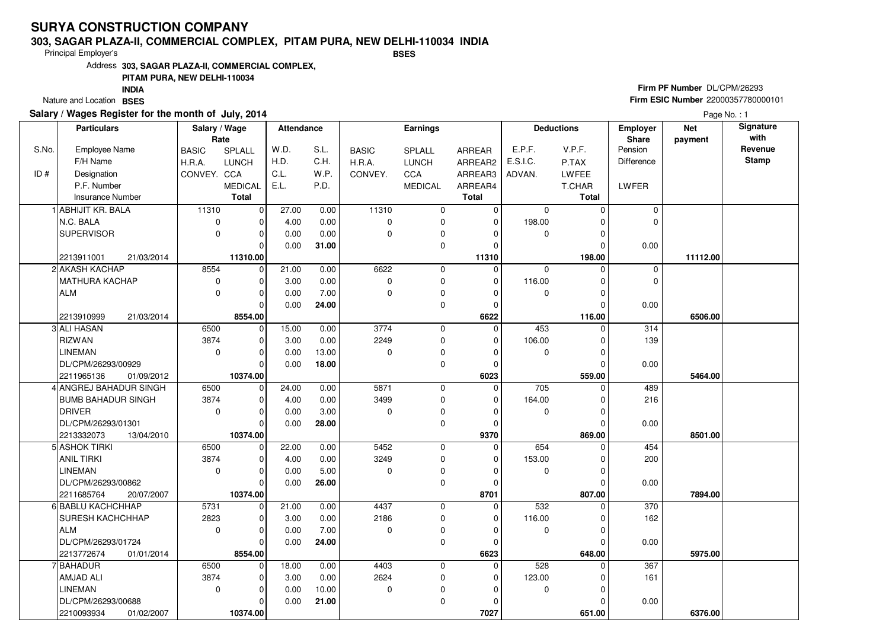#### **303, SAGAR PLAZA-II, COMMERCIAL COMPLEX, PITAM PURA, NEW DELHI-110034 INDIABSES**

Principal Employer's

Address**303, SAGAR PLAZA-II, COMMERCIAL COMPLEX,**

### **PITAM PURA, NEW DELHI-110034**

Nature and Location BSES **INDIA**

### **Salary / Wages Register for the month of July, 2014**

## **Firm PF Number** DL/CPM/26293 **Firm ESIC Number** 22000357780000101

|       | <b>Particulars</b>        | Salary / Wage |                | Attendance |       | <b>Earnings</b> |                | <b>Deductions</b> |             | <b>Employer</b> | <b>Net</b>   | Signature |                 |
|-------|---------------------------|---------------|----------------|------------|-------|-----------------|----------------|-------------------|-------------|-----------------|--------------|-----------|-----------------|
|       |                           | Rate          |                |            |       |                 |                |                   |             |                 | <b>Share</b> | payment   | with<br>Revenue |
| S.No. | Employee Name             | <b>BASIC</b>  | SPLALL         | W.D.       | S.L.  | <b>BASIC</b>    | <b>SPLALL</b>  | ARREAR            | E.P.F.      | V.P.F.          | Pension      |           | <b>Stamp</b>    |
|       | F/H Name                  | H.R.A.        | <b>LUNCH</b>   | H.D.       | C.H.  | H.R.A.          | <b>LUNCH</b>   | ARREAR2           | E.S.I.C.    | P.TAX           | Difference   |           |                 |
| ID#   | Designation               | CONVEY. CCA   |                | C.L.       | W.P.  | CONVEY.         | CCA            | ARREAR3           | ADVAN.      | LWFEE           |              |           |                 |
|       | P.F. Number               |               | <b>MEDICAL</b> | E.L.       | P.D.  |                 | <b>MEDICAL</b> | ARREAR4           |             | T.CHAR          | LWFER        |           |                 |
|       | <b>Insurance Number</b>   |               | <b>Total</b>   |            |       |                 |                | <b>Total</b>      |             | Total           |              |           |                 |
|       | ABHIJIT KR. BALA          | 11310         | $\overline{0}$ | 27.00      | 0.00  | 11310           | 0              | 0                 | 0           |                 | 0            |           |                 |
|       | N.C. BALA                 | 0             | 0              | 4.00       | 0.00  | $\mathbf 0$     | 0              | $\mathbf 0$       | 198.00      | O               | $\mathbf 0$  |           |                 |
|       | <b>SUPERVISOR</b>         | $\mathbf 0$   | O              | 0.00       | 0.00  | $\Omega$        | 0              | $\Omega$          | $\Omega$    |                 |              |           |                 |
|       |                           |               |                | 0.00       | 31.00 |                 | 0              | $\Omega$          |             | 0               | 0.00         |           |                 |
|       | 2213911001<br>21/03/2014  |               | 11310.00       |            |       |                 |                | 11310             |             | 198.00          |              | 11112.00  |                 |
|       | <b>AKASH KACHAP</b>       | 8554          | 0              | 21.00      | 0.00  | 6622            | 0              | $\mathbf 0$       | $\mathbf 0$ | $\Omega$        | 0            |           |                 |
|       | MATHURA KACHAP            | $\mathbf 0$   | $\Omega$       | 3.00       | 0.00  | $\Omega$        | $\mathbf 0$    | $\mathbf 0$       | 116.00      | O               | $\Omega$     |           |                 |
|       | <b>ALM</b>                | $\mathbf 0$   |                | 0.00       | 7.00  | 0               | $\pmb{0}$      | $\Omega$          | 0           |                 |              |           |                 |
|       |                           |               | $\Omega$       | 0.00       | 24.00 |                 | 0              | $\mathbf 0$       |             |                 | 0.00         |           |                 |
|       | 21/03/2014<br>2213910999  |               | 8554.00        |            |       |                 |                | 6622              |             | 116.00          |              | 6506.00   |                 |
|       | 3 ALI HASAN               | 6500          | $\mathbf 0$    | 15.00      | 0.00  | 3774            | 0              | $\mathbf 0$       | 453         | O               | 314          |           |                 |
|       | <b>RIZWAN</b>             | 3874          |                | 3.00       | 0.00  | 2249            | 0              | $\mathbf 0$       | 106.00      |                 | 139          |           |                 |
|       | <b>LINEMAN</b>            | $\mathbf 0$   | $\Omega$       | 0.00       | 13.00 | 0               | 0              | $\mathbf 0$       | $\mathbf 0$ | O               |              |           |                 |
|       | DL/CPM/26293/00929        |               | $\Omega$       | 0.00       | 18.00 |                 | $\mathbf 0$    | 0                 |             |                 | 0.00         |           |                 |
|       | 2211965136<br>01/09/2012  |               | 10374.00       |            |       |                 |                | 6023              |             | 559.00          |              | 5464.00   |                 |
|       | 4 ANGREJ BAHADUR SINGH    | 6500          | $\mathbf 0$    | 24.00      | 0.00  | 5871            | 0              | 0                 | 705         | $\Omega$        | 489          |           |                 |
|       | <b>BUMB BAHADUR SINGH</b> | 3874          |                | 4.00       | 0.00  | 3499            | $\mathbf 0$    | $\Omega$          | 164.00      |                 | 216          |           |                 |
|       | <b>DRIVER</b>             | $\mathbf 0$   | $\Omega$       | 0.00       | 3.00  | $\mathbf 0$     | 0              | $\Omega$          | 0           |                 |              |           |                 |
|       | DL/CPM/26293/01301        |               | $\Omega$       | 0.00       | 28.00 |                 | $\mathbf 0$    | $\Omega$          |             |                 | 0.00         |           |                 |
|       | 2213332073<br>13/04/2010  |               | 10374.00       |            |       |                 |                | 9370              |             | 869.00          |              | 8501.00   |                 |
|       | 5 ASHOK TIRKI             | 6500          | $\Omega$       | 22.00      | 0.00  | 5452            | $\mathbf 0$    | 0                 | 654         |                 | 454          |           |                 |
|       | <b>ANIL TIRKI</b>         | 3874          |                | 4.00       | 0.00  | 3249            | 0              | $\Omega$          | 153.00      |                 | 200          |           |                 |
|       | <b>LINEMAN</b>            | $\mathbf 0$   | $\Omega$       | 0.00       | 5.00  | $\Omega$        | 0              | $\Omega$          | $\mathbf 0$ | $\Omega$        |              |           |                 |
|       | DL/CPM/26293/00862        |               | $\Omega$       | 0.00       | 26.00 |                 | $\mathbf 0$    | $\Omega$          |             |                 | 0.00         |           |                 |
|       | 2211685764<br>20/07/2007  |               | 10374.00       |            |       |                 |                | 8701              |             | 807.00          |              | 7894.00   |                 |
|       | 6 BABLU KACHCHHAP         | 5731          | $\Omega$       | 21.00      | 0.00  | 4437            | $\mathbf 0$    | $\Omega$          | 532         |                 | 370          |           |                 |
|       | SURESH KACHCHHAP          | 2823          | $\Omega$       | 3.00       | 0.00  | 2186            | 0              | $\mathbf 0$       | 116.00      |                 | 162          |           |                 |
|       | <b>ALM</b>                | $\mathbf 0$   |                | 0.00       | 7.00  | $\Omega$        | 0              | $\Omega$          | 0           |                 |              |           |                 |
|       | DL/CPM/26293/01724        |               | U              | 0.00       | 24.00 |                 | 0              | $\Omega$          |             |                 | 0.00         |           |                 |
|       | 2213772674<br>01/01/2014  |               | 8554.00        |            |       |                 |                | 6623              |             | 648.00          |              | 5975.00   |                 |
|       | <b>BAHADUR</b>            | 6500          | $\Omega$       | 18.00      | 0.00  | 4403            | $\mathbf 0$    | $\Omega$          | 528         |                 | 367          |           |                 |
|       | AMJAD ALI                 | 3874          |                | 3.00       | 0.00  | 2624            | 0              | $\mathbf 0$       | 123.00      |                 | 161          |           |                 |
|       | <b>LINEMAN</b>            | $\mathbf 0$   | $\Omega$       | 0.00       | 10.00 | $\mathbf 0$     | 0              | $\Omega$          | 0           |                 |              |           |                 |
|       | DL/CPM/26293/00688        |               | O              | 0.00       | 21.00 |                 | 0              | 0                 |             |                 | 0.00         |           |                 |
|       | 2210093934<br>01/02/2007  |               | 10374.00       |            |       |                 |                | 7027              |             | 651.00          |              | 6376.00   |                 |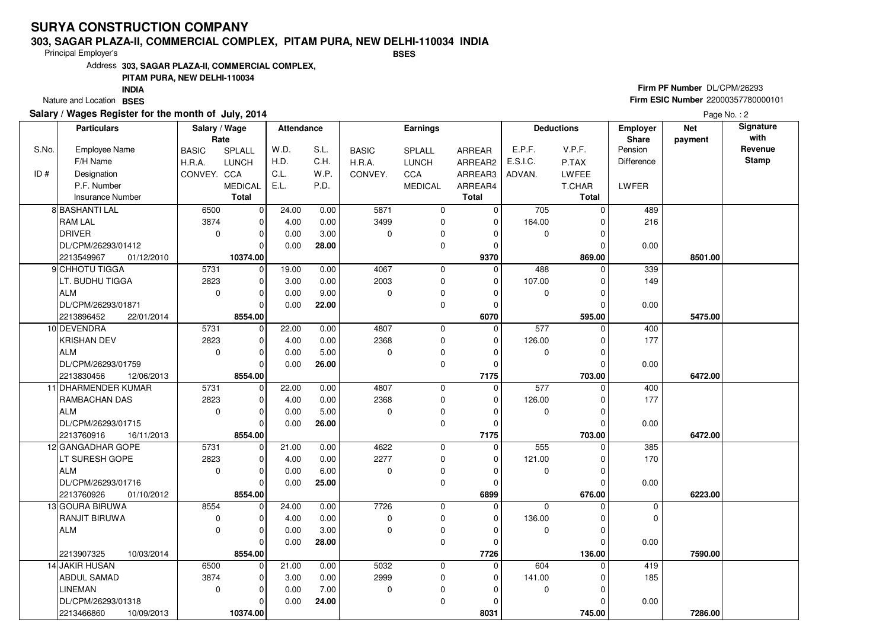### **303, SAGAR PLAZA-II, COMMERCIAL COMPLEX, PITAM PURA, NEW DELHI-110034 INDIABSES**

Principal Employer's

Address**303, SAGAR PLAZA-II, COMMERCIAL COMPLEX,**

### **PITAM PURA, NEW DELHI-110034**

Nature and Location BSES **INDIA**

### **Salary / Wages Register for the month of July, 2014**

## **Firm PF Number** DL/CPM/26293 **Firm ESIC Number** 22000357780000101

|       | <b>Particulars</b>       | Salary / Wage<br>Rate |                | Attendance |       |              | <b>Earnings</b> |                |             | <b>Deductions</b> | <b>Employer</b><br>Share | <b>Net</b><br>payment | Signature<br>with |
|-------|--------------------------|-----------------------|----------------|------------|-------|--------------|-----------------|----------------|-------------|-------------------|--------------------------|-----------------------|-------------------|
| S.No. | Employee Name            | <b>BASIC</b>          | SPLALL         | W.D.       | S.L.  | <b>BASIC</b> | SPLALL          | ARREAR         | E.P.F.      | V.P.F.            | Pension                  |                       | Revenue           |
|       | F/H Name                 | H.R.A.                | <b>LUNCH</b>   | H.D.       | C.H.  | H.R.A.       | <b>LUNCH</b>    | ARREAR2        | E.S.I.C.    | P.TAX             | Difference               |                       | <b>Stamp</b>      |
| ID#   | Designation              | CONVEY. CCA           |                | C.L.       | W.P.  | CONVEY.      | CCA             | ARREAR3        | ADVAN.      | <b>LWFEE</b>      |                          |                       |                   |
|       | P.F. Number              |                       | <b>MEDICAL</b> | E.L.       | P.D.  |              | <b>MEDICAL</b>  | ARREAR4        |             | T.CHAR            | LWFER                    |                       |                   |
|       | Insurance Number         |                       | <b>Total</b>   |            |       |              |                 | <b>Total</b>   |             | <b>Total</b>      |                          |                       |                   |
|       | 8 BASHANTI LAL           | 6500                  | $\overline{0}$ | 24.00      | 0.00  | 5871         | 0               | 0              | 705         | $\Omega$          | 489                      |                       |                   |
|       | <b>RAM LAL</b>           | 3874                  | 0              | 4.00       | 0.00  | 3499         | 0               | $\mathbf 0$    | 164.00      | O                 | 216                      |                       |                   |
|       | <b>DRIVER</b>            | $\mathbf 0$           | 0              | 0.00       | 3.00  | 0            | 0               | 0              | 0           | 0                 |                          |                       |                   |
|       | DL/CPM/26293/01412       |                       | $\Omega$       | 0.00       | 28.00 |              | 0               | $\Omega$       |             | O                 | 0.00                     |                       |                   |
|       | 2213549967<br>01/12/2010 |                       | 10374.00       |            |       |              |                 | 9370           |             | 869.00            |                          | 8501.00               |                   |
|       | 9 CHHOTU TIGGA           | 5731                  | $\overline{0}$ | 19.00      | 0.00  | 4067         | 0               | $\Omega$       | 488         | $\Omega$          | 339                      |                       |                   |
|       | LT. BUDHU TIGGA          | 2823                  | $\Omega$       | 3.00       | 0.00  | 2003         | 0               | $\Omega$       | 107.00      | ŋ                 | 149                      |                       |                   |
|       | <b>ALM</b>               | 0                     | $\Omega$       | 0.00       | 9.00  | $\mathbf 0$  | 0               | $\Omega$       | 0           | O                 |                          |                       |                   |
|       | DL/CPM/26293/01871       |                       | $\Omega$       | 0.00       | 22.00 |              | 0               | $\Omega$       |             | O                 | 0.00                     |                       |                   |
|       | 2213896452<br>22/01/2014 |                       | 8554.00        |            |       |              |                 | 6070           |             | 595.00            |                          | 5475.00               |                   |
|       | 10 DEVENDRA              | 5731                  | $\overline{0}$ | 22.00      | 0.00  | 4807         | 0               | $\mathbf 0$    | 577         | $\Omega$          | 400                      |                       |                   |
|       | <b>KRISHAN DEV</b>       | 2823                  | 0              | 4.00       | 0.00  | 2368         | 0               | $\mathbf 0$    | 126.00      | 0                 | 177                      |                       |                   |
|       | <b>ALM</b>               | $\mathbf 0$           | $\Omega$       | 0.00       | 5.00  | $\Omega$     | 0               | $\Omega$       | $\mathbf 0$ | $\Omega$          |                          |                       |                   |
|       | DL/CPM/26293/01759       |                       | $\mathbf 0$    | 0.00       | 26.00 |              | 0               | $\Omega$       |             |                   | 0.00                     |                       |                   |
|       | 2213830456<br>12/06/2013 |                       | 8554.00        |            |       |              |                 | 7175           |             | 703.00            |                          | 6472.00               |                   |
|       | 11 DHARMENDER KUMAR      | 5731                  | $\overline{0}$ | 22.00      | 0.00  | 4807         | 0               | $\Omega$       | 577         | $\Omega$          | 400                      |                       |                   |
|       | RAMBACHAN DAS            | 2823                  | $\Omega$       | 4.00       | 0.00  | 2368         | 0               | $\Omega$       | 126.00      |                   | 177                      |                       |                   |
|       | <b>ALM</b>               | $\mathbf 0$           | $\Omega$       | 0.00       | 5.00  | $\Omega$     | 0               | $\Omega$       | 0           | ŋ                 |                          |                       |                   |
|       | DL/CPM/26293/01715       |                       | $\Omega$       | 0.00       | 26.00 |              | 0               | $\mathbf 0$    |             |                   | 0.00                     |                       |                   |
|       | 2213760916<br>16/11/2013 |                       | 8554.00        |            |       |              |                 | 7175           |             | 703.00            |                          | 6472.00               |                   |
|       | 12 GANGADHAR GOPE        | 5731                  | $\mathbf 0$    | 21.00      | 0.00  | 4622         | 0               | $\mathbf 0$    | 555         | $\Omega$          | 385                      |                       |                   |
|       | LT SURESH GOPE           | 2823                  | $\Omega$       | 4.00       | 0.00  | 2277         | 0               | $\Omega$       | 121.00      |                   | 170                      |                       |                   |
|       | <b>ALM</b>               | $\mathbf 0$           | 0              | 0.00       | 6.00  | $\Omega$     | 0               | 0              | 0           | 0                 |                          |                       |                   |
|       | DL/CPM/26293/01716       |                       | $\Omega$       | 0.00       | 25.00 |              | 0               | $\Omega$       |             |                   | 0.00                     |                       |                   |
|       | 2213760926<br>01/10/2012 |                       | 8554.00        |            |       |              |                 | 6899           |             | 676.00            |                          | 6223.00               |                   |
|       | 13 GOURA BIRUWA          | 8554                  | $\mathbf 0$    | 24.00      | 0.00  | 7726         | 0               | $\overline{0}$ | $\Omega$    | $\Omega$          | $\mathbf 0$              |                       |                   |
|       | RANJIT BIRUWA            | $\mathbf 0$           | $\Omega$       | 4.00       | 0.00  | $\mathbf 0$  | 0               | $\Omega$       | 136.00      | O                 | $\Omega$                 |                       |                   |
|       | <b>ALM</b>               | 0                     | $\mathbf 0$    | 0.00       | 3.00  | $\Omega$     | 0               | $\Omega$       | 0           |                   |                          |                       |                   |
|       |                          |                       | $\Omega$       | 0.00       | 28.00 |              | 0               | $\Omega$       |             | ∩                 | 0.00                     |                       |                   |
|       | 2213907325<br>10/03/2014 |                       | 8554.00        |            |       |              |                 | 7726           |             | 136.00            |                          | 7590.00               |                   |
|       | 14 JAKIR HUSAN           | 6500                  | $\Omega$       | 21.00      | 0.00  | 5032         | 0               | $\overline{0}$ | 604         |                   | 419                      |                       |                   |
|       | ABDUL SAMAD              | 3874                  | 0              | 3.00       | 0.00  | 2999         | 0               | $\Omega$       | 141.00      |                   | 185                      |                       |                   |
|       | <b>LINEMAN</b>           | $\mathbf 0$           | 0              | 0.00       | 7.00  | $\mathbf 0$  | 0               | $\Omega$       | 0           |                   |                          |                       |                   |
|       | DL/CPM/26293/01318       |                       | 0              | 0.00       | 24.00 |              | 0               | ŋ              |             |                   | 0.00                     |                       |                   |
|       | 2213466860<br>10/09/2013 |                       | 10374.00       |            |       |              |                 | 8031           |             | 745.00            |                          | 7286.00               |                   |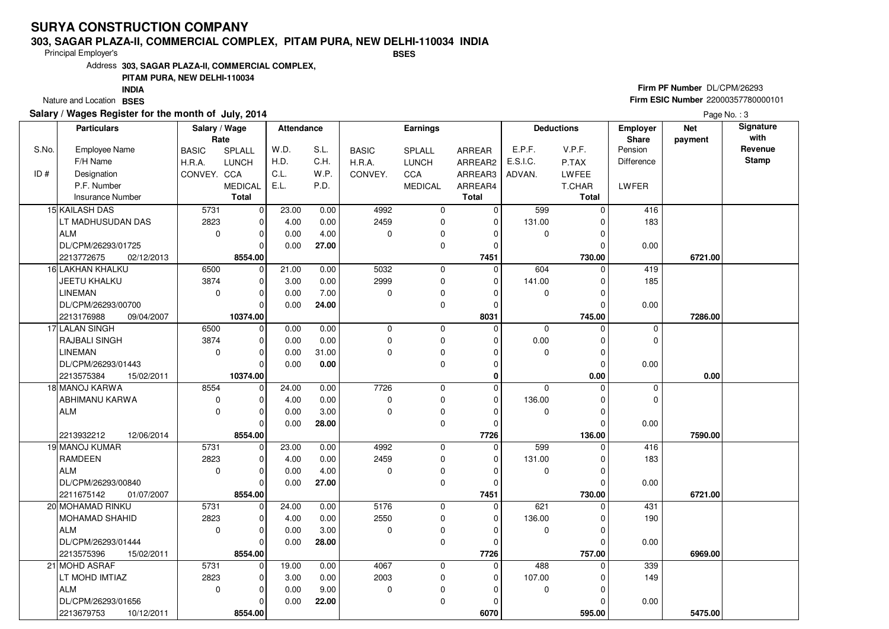### **303, SAGAR PLAZA-II, COMMERCIAL COMPLEX, PITAM PURA, NEW DELHI-110034 INDIABSES**

Principal Employer's

Address**303, SAGAR PLAZA-II, COMMERCIAL COMPLEX,**

### **PITAM PURA, NEW DELHI-110034**

Nature and Location BSES **INDIA**

### **Salary / Wages Register for the month of July, 2014**

## **Firm PF Number** DL/CPM/26293 **Firm ESIC Number** 22000357780000101

|       | <b>Particulars</b>       | Salary / Wage<br>Rate |                | Attendance |          | Earnings     |                |                | <b>Deductions</b> | Employer<br>Share | <b>Net</b><br>payment | Signature<br>with |              |
|-------|--------------------------|-----------------------|----------------|------------|----------|--------------|----------------|----------------|-------------------|-------------------|-----------------------|-------------------|--------------|
| S.No. | <b>Employee Name</b>     | <b>BASIC</b>          | SPLALL         | W.D.       | S.L.     | <b>BASIC</b> | SPLALL         | ARREAR         | E.P.F.            | V.P.F.            | Pension               |                   | Revenue      |
|       | F/H Name                 | H.R.A.                | <b>LUNCH</b>   | H.D.       | C.H.     | H.R.A.       | <b>LUNCH</b>   | ARREAR2        | E.S.I.C.          | P.TAX             | Difference            |                   | <b>Stamp</b> |
| ID#   | Designation              | CONVEY. CCA           |                | C.L.       | W.P.     | CONVEY.      | CCA            | ARREAR3        | ADVAN.            | <b>LWFEE</b>      |                       |                   |              |
|       | P.F. Number              |                       | <b>MEDICAL</b> | E.L.       | P.D.     |              | <b>MEDICAL</b> | ARREAR4        |                   | T.CHAR            | LWFER                 |                   |              |
|       | Insurance Number         |                       | <b>Total</b>   |            |          |              |                | <b>Total</b>   |                   | <b>Total</b>      |                       |                   |              |
|       | 15 KAILASH DAS           | 5731                  | $\mathbf 0$    | 23.00      | 0.00     | 4992         | $\mathbf 0$    | $\Omega$       | 599               | $\Omega$          | 416                   |                   |              |
|       | LT MADHUSUDAN DAS        | 2823                  | $\mathbf 0$    | 4.00       | 0.00     | 2459         | 0              | $\Omega$       | 131.00            |                   | 183                   |                   |              |
|       | <b>ALM</b>               | $\mathbf 0$           | $\mathbf 0$    | 0.00       | 4.00     | 0            | 0              | 0              | 0                 | 0                 |                       |                   |              |
|       | DL/CPM/26293/01725       |                       | $\Omega$       | 0.00       | 27.00    |              | 0              | $\Omega$       |                   |                   | 0.00                  |                   |              |
|       | 2213772675<br>02/12/2013 |                       | 8554.00        |            |          |              |                | 7451           |                   | 730.00            |                       | 6721.00           |              |
|       | 16 LAKHAN KHALKU         | 6500                  | $\mathbf 0$    | 21.00      | 0.00     | 5032         | $\mathbf 0$    | $\Omega$       | 604               | $\Omega$          | 419                   |                   |              |
|       | JEETU KHALKU             | 3874                  | $\mathbf 0$    | 3.00       | 0.00     | 2999         | 0              | $\mathbf 0$    | 141.00            | $\Omega$          | 185                   |                   |              |
|       | <b>LINEMAN</b>           | $\mathbf 0$           | $\mathbf 0$    | 0.00       | 7.00     | 0            | 0              | $\Omega$       | $\mathbf 0$       | O                 |                       |                   |              |
|       | DL/CPM/26293/00700       |                       | $\Omega$       | 0.00       | 24.00    |              | 0              | $\Omega$       |                   | $\Omega$          | 0.00                  |                   |              |
|       | 09/04/2007<br>2213176988 |                       | 10374.00       |            |          |              |                | 8031           |                   | 745.00            |                       | 7286.00           |              |
|       | 17 LALAN SINGH           | 6500                  | $\mathbf 0$    | 0.00       | 0.00     | $\mathbf 0$  | 0              | $\Omega$       | 0                 |                   | 0                     |                   |              |
|       | RAJBALI SINGH            | 3874                  | $\mathbf 0$    | 0.00       | 0.00     | $\mathbf 0$  | 0              | $\mathbf 0$    | 0.00              | 0                 | $\mathbf 0$           |                   |              |
|       | <b>LINEMAN</b>           | $\mathbf 0$           | $\mathbf 0$    | 0.00       | 31.00    | $\Omega$     | 0              | $\Omega$       | 0                 | $\Omega$          |                       |                   |              |
|       | DL/CPM/26293/01443       |                       | $\Omega$       | 0.00       | $0.00\,$ |              | 0              | $\mathbf 0$    |                   | $\Omega$          | 0.00                  |                   |              |
|       | 2213575384<br>15/02/2011 |                       | 10374.00       |            |          |              |                | $\Omega$       |                   | 0.00              |                       | 0.00              |              |
|       | 18 MANOJ KARWA           | 8554                  | 0              | 24.00      | 0.00     | 7726         | 0              | $\Omega$       | $\mathbf 0$       | $\Omega$          | $\mathbf 0$           |                   |              |
|       | ABHIMANU KARWA           | $\mathbf 0$           | $\mathbf 0$    | 4.00       | 0.00     | $\mathbf 0$  | 0              | $\Omega$       | 136.00            | 0                 | $\mathbf 0$           |                   |              |
|       | <b>ALM</b>               | $\mathbf 0$           | $\Omega$       | 0.00       | 3.00     | 0            | 0              | $\Omega$       | $\mathbf 0$       | ∩                 |                       |                   |              |
|       |                          |                       | $\Omega$       | 0.00       | 28.00    |              | 0              | $\mathbf 0$    |                   | $\Omega$          | 0.00                  |                   |              |
|       | 2213932212<br>12/06/2014 |                       | 8554.00        |            |          |              |                | 7726           |                   | 136.00            |                       | 7590.00           |              |
|       | 19 MANOJ KUMAR           | 5731                  | $\mathbf 0$    | 23.00      | 0.00     | 4992         | $\mathbf 0$    | $\Omega$       | 599               | $\Omega$          | 416                   |                   |              |
|       | <b>RAMDEEN</b>           | 2823                  | $\mathbf 0$    | 4.00       | 0.00     | 2459         | 0              | $\Omega$       | 131.00            |                   | 183                   |                   |              |
|       | <b>ALM</b>               | $\mathbf 0$           | $\Omega$       | 0.00       | 4.00     | 0            | 0              | $\Omega$       | $\mathbf 0$       | 0                 |                       |                   |              |
|       | DL/CPM/26293/00840       |                       | $\Omega$       | 0.00       | 27.00    |              | 0              | $\Omega$       |                   | C                 | 0.00                  |                   |              |
|       | 2211675142<br>01/07/2007 |                       | 8554.00        |            |          |              |                | 7451           |                   | 730.00            |                       | 6721.00           |              |
|       | 20 MOHAMAD RINKU         | 5731                  | 0              | 24.00      | 0.00     | 5176         | $\mathbf 0$    | $\mathbf 0$    | 621               | $\Omega$          | 431                   |                   |              |
|       | <b>MOHAMAD SHAHID</b>    | 2823                  | $\Omega$       | 4.00       | 0.00     | 2550         | 0              | $\overline{0}$ | 136.00            |                   | 190                   |                   |              |
|       | <b>ALM</b>               | $\mathbf 0$           | $\mathbf 0$    | 0.00       | 3.00     | 0            | 0              | $\Omega$       | 0                 | 0                 |                       |                   |              |
|       | DL/CPM/26293/01444       |                       | $\Omega$       | 0.00       | 28.00    |              | 0              | $\Omega$       |                   | $\Omega$          | 0.00                  |                   |              |
|       | 2213575396<br>15/02/2011 |                       | 8554.00        |            |          |              |                | 7726           |                   | 757.00            |                       | 6969.00           |              |
|       | 21 MOHD ASRAF            | 5731                  | 0              | 19.00      | 0.00     | 4067         | 0              | 0              | 488               | $\Omega$          | 339                   |                   |              |
|       | LT MOHD IMTIAZ           | 2823                  | $\Omega$       | 3.00       | 0.00     | 2003         | 0              | $\Omega$       | 107.00            |                   | 149                   |                   |              |
|       | <b>ALM</b>               | $\mathbf 0$           | $\mathbf 0$    | 0.00       | 9.00     | 0            | 0              | $\Omega$       | 0                 |                   |                       |                   |              |
|       | DL/CPM/26293/01656       |                       | $\mathbf 0$    | 0.00       | 22.00    |              | $\mathbf 0$    | 0              |                   |                   | 0.00                  |                   |              |
|       | 2213679753<br>10/12/2011 |                       | 8554.00        |            |          |              |                | 6070           |                   | 595.00            |                       | 5475.00           |              |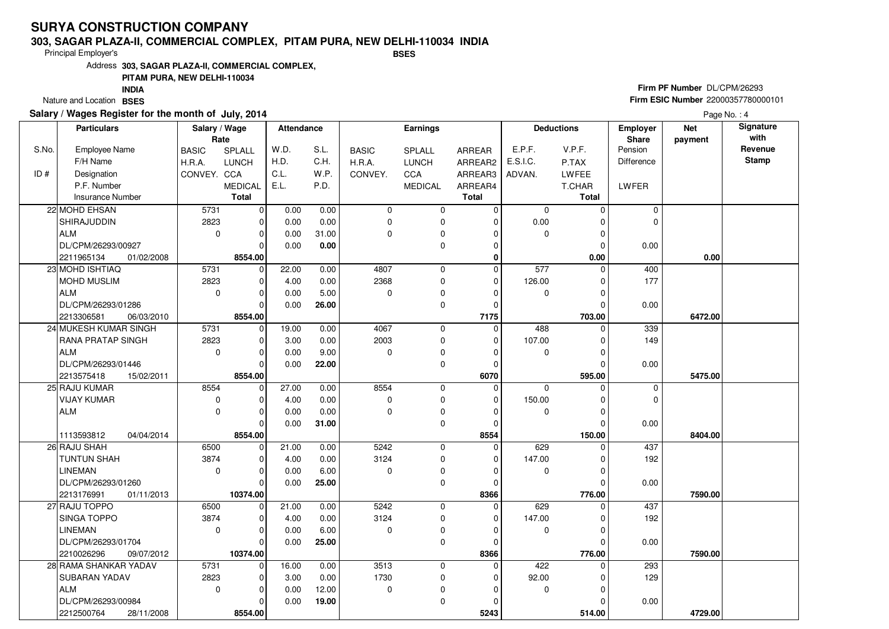#### **303, SAGAR PLAZA-II, COMMERCIAL COMPLEX, PITAM PURA, NEW DELHI-110034 INDIABSES**

Principal Employer's

Address**303, SAGAR PLAZA-II, COMMERCIAL COMPLEX,**

### **PITAM PURA, NEW DELHI-110034**

Nature and Location BSES **INDIA**

### **Salary / Wages Register for the month of July, 2014**

## **Firm PF Number** DL/CPM/26293 **Firm ESIC Number** 22000357780000101

|       | <b>Particulars</b>       | Salary / Wage<br>Rate |                | Attendance |       |              | <b>Earnings</b> |                |             | <b>Deductions</b> | <b>Employer</b><br>Share | <b>Net</b><br>payment | Signature<br>with |
|-------|--------------------------|-----------------------|----------------|------------|-------|--------------|-----------------|----------------|-------------|-------------------|--------------------------|-----------------------|-------------------|
| S.No. | <b>Employee Name</b>     | <b>BASIC</b>          | SPLALL         | W.D.       | S.L.  | <b>BASIC</b> | <b>SPLALL</b>   | <b>ARREAR</b>  | E.P.F.      | V.P.F.            | Pension                  |                       | Revenue           |
|       | F/H Name                 | H.R.A.                | <b>LUNCH</b>   | H.D.       | C.H.  | H.R.A.       | <b>LUNCH</b>    | ARREAR2        | E.S.I.C.    | P.TAX             | Difference               |                       | <b>Stamp</b>      |
| ID#   | Designation              | CONVEY. CCA           |                | C.L.       | W.P.  | CONVEY.      | CCA             | ARREAR3        | ADVAN.      | LWFEE             |                          |                       |                   |
|       | P.F. Number              |                       | <b>MEDICAL</b> | E.L.       | P.D.  |              | <b>MEDICAL</b>  | ARREAR4        |             | T.CHAR            | LWFER                    |                       |                   |
|       | <b>Insurance Number</b>  |                       | <b>Total</b>   |            |       |              |                 | <b>Total</b>   |             | <b>Total</b>      |                          |                       |                   |
|       | 22 MOHD EHSAN            | 5731                  | $\overline{0}$ | 0.00       | 0.00  | $\mathbf 0$  | 0               | $\Omega$       | $\mathbf 0$ | $\Omega$          | $\mathbf 0$              |                       |                   |
|       | SHIRAJUDDIN              | 2823                  | 0              | 0.00       | 0.00  | 0            | 0               | 0              | 0.00        | ŋ                 | $\mathbf 0$              |                       |                   |
|       | <b>ALM</b>               | $\mathbf 0$           | $\mathbf 0$    | 0.00       | 31.00 | 0            | 0               | $\Omega$       | $\mathbf 0$ | O                 |                          |                       |                   |
|       | DL/CPM/26293/00927       |                       | $\Omega$       | 0.00       | 0.00  |              | 0               | $\Omega$       |             | $\Omega$          | 0.00                     |                       |                   |
|       | 2211965134<br>01/02/2008 |                       | 8554.00        |            |       |              |                 | $\mathbf 0$    |             | 0.00              |                          | 0.00                  |                   |
|       | 23 MOHD ISHTIAQ          | 5731                  | $\overline{0}$ | 22.00      | 0.00  | 4807         | 0               | $\overline{0}$ | 577         | $\Omega$          | 400                      |                       |                   |
|       | MOHD MUSLIM              | 2823                  | $\Omega$       | 4.00       | 0.00  | 2368         | 0               | 0              | 126.00      | O                 | 177                      |                       |                   |
|       | <b>ALM</b>               | $\mathbf 0$           | 0              | 0.00       | 5.00  | 0            | 0               | $\Omega$       | 0           | 0                 |                          |                       |                   |
|       | DL/CPM/26293/01286       |                       | $\Omega$       | 0.00       | 26.00 |              | 0               | $\Omega$       |             | O                 | 0.00                     |                       |                   |
|       | 2213306581<br>06/03/2010 |                       | 8554.00        |            |       |              |                 | 7175           |             | 703.00            |                          | 6472.00               |                   |
|       | 24 MUKESH KUMAR SINGH    | 5731                  | $\overline{0}$ | 19.00      | 0.00  | 4067         | 0               | $\mathbf 0$    | 488         | $\Omega$          | 339                      |                       |                   |
|       | RANA PRATAP SINGH        | 2823                  | 0              | 3.00       | 0.00  | 2003         | 0               | 0              | 107.00      | 0                 | 149                      |                       |                   |
|       | <b>ALM</b>               | $\mathbf 0$           | 0              | 0.00       | 9.00  | 0            | 0               | $\Omega$       | 0           | O                 |                          |                       |                   |
|       | DL/CPM/26293/01446       |                       | $\Omega$       | 0.00       | 22.00 |              | 0               | $\Omega$       |             | ŋ                 | 0.00                     |                       |                   |
|       | 15/02/2011<br>2213575418 |                       | 8554.00        |            |       |              |                 | 6070           |             | 595.00            |                          | 5475.00               |                   |
|       | 25 RAJU KUMAR            | 8554                  | 0              | 27.00      | 0.00  | 8554         | 0               | $\Omega$       | $\mathbf 0$ | $\Omega$          | $\mathbf 0$              |                       |                   |
|       | <b>VIJAY KUMAR</b>       | $\mathbf 0$           | $\Omega$       | 4.00       | 0.00  | 0            | 0               | $\Omega$       | 150.00      | ŋ                 | $\Omega$                 |                       |                   |
|       | <b>ALM</b>               | $\mathbf 0$           | $\Omega$       | 0.00       | 0.00  | $\Omega$     | 0               | $\Omega$       | 0           |                   |                          |                       |                   |
|       |                          |                       | $\Omega$       | 0.00       | 31.00 |              | 0               | $\Omega$       |             | $\Omega$          | 0.00                     |                       |                   |
|       | 1113593812<br>04/04/2014 |                       | 8554.00        |            |       |              |                 | 8554           |             | 150.00            |                          | 8404.00               |                   |
|       | 26 RAJU SHAH             | 6500                  | $\mathbf 0$    | 21.00      | 0.00  | 5242         | 0               | $\mathbf 0$    | 629         | O                 | 437                      |                       |                   |
|       | <b>TUNTUN SHAH</b>       | 3874                  | $\Omega$       | 4.00       | 0.00  | 3124         | 0               | 0              | 147.00      |                   | 192                      |                       |                   |
|       | <b>LINEMAN</b>           | $\mathbf 0$           | $\mathbf 0$    | 0.00       | 6.00  | 0            | 0               | 0              | 0           | O                 |                          |                       |                   |
|       | DL/CPM/26293/01260       |                       | $\Omega$       | 0.00       | 25.00 |              | 0               | $\Omega$       |             |                   | 0.00                     |                       |                   |
|       | 2213176991<br>01/11/2013 |                       | 10374.00       |            |       |              |                 | 8366           |             | 776.00            |                          | 7590.00               |                   |
|       | 27 RAJU TOPPO            | 6500                  | $\overline{0}$ | 21.00      | 0.00  | 5242         | 0               | 0              | 629         | $\Omega$          | 437                      |                       |                   |
|       | SINGA TOPPO              | 3874                  | $\Omega$       | 4.00       | 0.00  | 3124         | 0               | $\Omega$       | 147.00      |                   | 192                      |                       |                   |
|       | <b>LINEMAN</b>           | $\Omega$              | $\Omega$       | 0.00       | 6.00  | $\Omega$     | 0               | $\Omega$       | 0           |                   |                          |                       |                   |
|       | DL/CPM/26293/01704       |                       | $\Omega$       | 0.00       | 25.00 |              | 0               | $\Omega$       |             |                   | 0.00                     |                       |                   |
|       | 2210026296<br>09/07/2012 |                       | 10374.00       |            |       |              |                 | 8366           |             | 776.00            |                          | 7590.00               |                   |
|       | 28 RAMA SHANKAR YADAV    | 5731                  | $\overline{0}$ | 16.00      | 0.00  | 3513         | 0               | $\mathbf 0$    | 422         | $\Omega$          | 293                      |                       |                   |
|       | SUBARAN YADAV            | 2823                  | $\Omega$       | 3.00       | 0.00  | 1730         | 0               | $\Omega$       | 92.00       |                   | 129                      |                       |                   |
|       | <b>ALM</b>               | $\Omega$              | $\Omega$       | 0.00       | 12.00 | $\Omega$     | 0               | O              | 0           |                   |                          |                       |                   |
|       | DL/CPM/26293/00984       |                       | 0              | 0.00       | 19.00 |              | 0               | 0              |             |                   | 0.00                     |                       |                   |
|       | 2212500764<br>28/11/2008 |                       | 8554.00        |            |       |              |                 | 5243           |             | 514.00            |                          | 4729.00               |                   |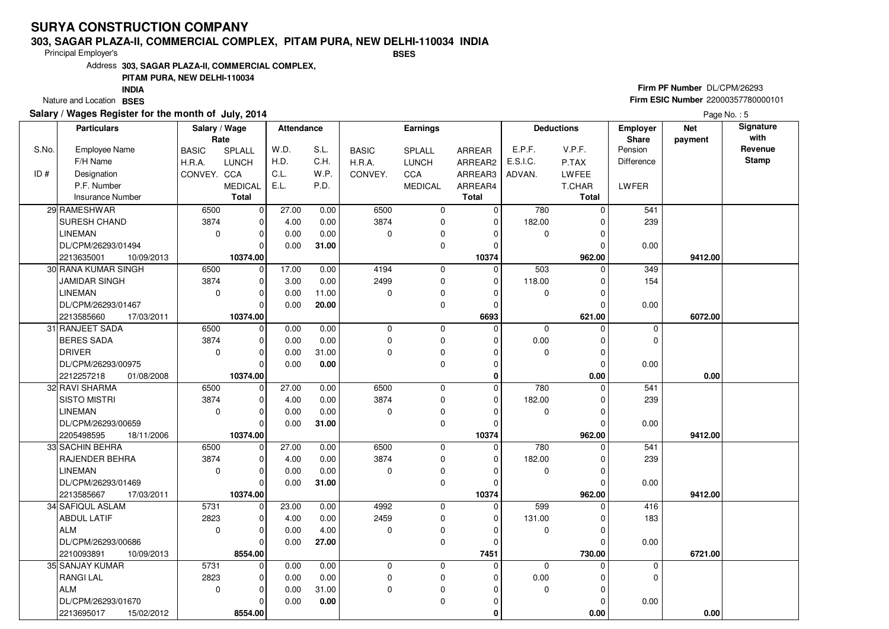### **303, SAGAR PLAZA-II, COMMERCIAL COMPLEX, PITAM PURA, NEW DELHI-110034 INDIABSES**

Principal Employer's

Address**303, SAGAR PLAZA-II, COMMERCIAL COMPLEX,**

### **PITAM PURA, NEW DELHI-110034**

Nature and Location BSES **INDIA**

### **Salary / Wages Register for the month of July, 2014**

## **Firm PF Number** DL/CPM/26293 **Firm ESIC Number** 22000357780000101

|       | <b>Particulars</b>         | Salary / Wage<br>Rate |                | Attendance |       | <b>Earnings</b> |                | <b>Deductions</b> |             | Employer<br>Share | <b>Net</b><br>payment | Signature<br>with |              |
|-------|----------------------------|-----------------------|----------------|------------|-------|-----------------|----------------|-------------------|-------------|-------------------|-----------------------|-------------------|--------------|
| S.No. | <b>Employee Name</b>       | <b>BASIC</b>          | SPLALL         | W.D.       | S.L.  | <b>BASIC</b>    | SPLALL         | ARREAR            | E.P.F.      | V.P.F.            | Pension               |                   | Revenue      |
|       | F/H Name                   | H.R.A.                | <b>LUNCH</b>   | H.D.       | C.H.  | H.R.A.          | <b>LUNCH</b>   | ARREAR2           | E.S.I.C.    | P.TAX             | <b>Difference</b>     |                   | <b>Stamp</b> |
| ID#   | Designation                | CONVEY. CCA           |                | C.L.       | W.P.  | CONVEY.         | CCA            | ARREAR3           | ADVAN.      | LWFEE             |                       |                   |              |
|       | P.F. Number                |                       | <b>MEDICAL</b> | E.L.       | P.D.  |                 | <b>MEDICAL</b> | ARREAR4           |             | T.CHAR            | LWFER                 |                   |              |
|       | <b>Insurance Number</b>    |                       | <b>Total</b>   |            |       |                 |                | <b>Total</b>      |             | <b>Total</b>      |                       |                   |              |
|       | 29 RAMESHWAR               | 6500                  | $\overline{0}$ | 27.00      | 0.00  | 6500            | 0              | $\Omega$          | 780         | $\Omega$          | 541                   |                   |              |
|       | SURESH CHAND               | 3874                  | $\mathbf 0$    | 4.00       | 0.00  | 3874            | 0              | $\mathbf 0$       | 182.00      | ŋ                 | 239                   |                   |              |
|       | <b>LINEMAN</b>             | $\mathbf 0$           | $\mathbf 0$    | 0.00       | 0.00  | 0               | 0              | 0                 | $\mathbf 0$ | O                 |                       |                   |              |
|       | DL/CPM/26293/01494         |                       | $\Omega$       | 0.00       | 31.00 |                 | 0              | 0                 |             |                   | 0.00                  |                   |              |
|       | 2213635001<br>10/09/2013   |                       | 10374.00       |            |       |                 |                | 10374             |             | 962.00            |                       | 9412.00           |              |
|       | <b>30 RANA KUMAR SINGH</b> | 6500                  | $\Omega$       | 17.00      | 0.00  | 4194            | 0              | $\Omega$          | 503         | $\Omega$          | $\overline{349}$      |                   |              |
|       | <b>JAMIDAR SINGH</b>       | 3874                  | $\mathbf 0$    | 3.00       | 0.00  | 2499            | 0              | 0                 | 118.00      | O                 | 154                   |                   |              |
|       | <b>LINEMAN</b>             | 0                     | $\mathbf 0$    | 0.00       | 11.00 | 0               | 0              | 0                 | 0           | ŋ                 |                       |                   |              |
|       | DL/CPM/26293/01467         |                       | $\Omega$       | 0.00       | 20.00 |                 | 0              | $\Omega$          |             | O                 | 0.00                  |                   |              |
|       | 2213585660<br>17/03/2011   |                       | 10374.00       |            |       |                 |                | 6693              |             | 621.00            |                       | 6072.00           |              |
|       | 31 RANJEET SADA            | 6500                  | $\Omega$       | 0.00       | 0.00  | 0               | 0              | $\Omega$          | 0           | ŋ                 | 0                     |                   |              |
|       | <b>BERES SADA</b>          | 3874                  | 0              | 0.00       | 0.00  | 0               | 0              | $\Omega$          | 0.00        | 0                 | $\Omega$              |                   |              |
|       | <b>DRIVER</b>              | $\mathbf 0$           | $\Omega$       | 0.00       | 31.00 | $\Omega$        | 0              | $\Omega$          | 0           | O                 |                       |                   |              |
|       | DL/CPM/26293/00975         |                       | $\Omega$       | 0.00       | 0.00  |                 | 0              | $\Omega$          |             | $\Omega$          | 0.00                  |                   |              |
|       | 2212257218<br>01/08/2008   |                       | 10374.00       |            |       |                 |                | $\bf{0}$          |             | 0.00              |                       | 0.00              |              |
|       | 32 RAVI SHARMA             | 6500                  | $\overline{0}$ | 27.00      | 0.00  | 6500            | 0              | $\Omega$          | 780         | $\Omega$          | 541                   |                   |              |
|       | <b>SISTO MISTRI</b>        | 3874                  | $\Omega$       | 4.00       | 0.00  | 3874            | 0              | $\mathbf 0$       | 182.00      | 0                 | 239                   |                   |              |
|       | <b>LINEMAN</b>             | $\mathbf 0$           | $\Omega$       | 0.00       | 0.00  | $\Omega$        | 0              | O                 | 0           | C                 |                       |                   |              |
|       | DL/CPM/26293/00659         |                       | $\Omega$       | 0.00       | 31.00 |                 | 0              | $\Omega$          |             | 0                 | 0.00                  |                   |              |
|       | 2205498595<br>18/11/2006   |                       | 10374.00       |            |       |                 |                | 10374             |             | 962.00            |                       | 9412.00           |              |
|       | 33 SACHIN BEHRA            | 6500                  | $\Omega$       | 27.00      | 0.00  | 6500            | 0              | $\Omega$          | 780         | O                 | 541                   |                   |              |
|       | RAJENDER BEHRA             | 3874                  | $\Omega$       | 4.00       | 0.00  | 3874            | 0              | $\Omega$          | 182.00      | 0                 | 239                   |                   |              |
|       | <b>LINEMAN</b>             | $\mathbf 0$           | $\Omega$       | 0.00       | 0.00  | $\Omega$        | 0              | $\Omega$          | $\mathbf 0$ | $\Omega$          |                       |                   |              |
|       | DL/CPM/26293/01469         |                       | $\Omega$       | 0.00       | 31.00 |                 | 0              | $\Omega$          |             |                   | 0.00                  |                   |              |
|       | 2213585667<br>17/03/2011   |                       | 10374.00       |            |       |                 |                | 10374             |             | 962.00            |                       | 9412.00           |              |
|       | 34 SAFIQUL ASLAM           | 5731                  | $\overline{0}$ | 23.00      | 0.00  | 4992            | 0              | 0                 | 599         | $\Omega$          | 416                   |                   |              |
|       | <b>ABDUL LATIF</b>         | 2823                  | $\Omega$       | 4.00       | 0.00  | 2459            | 0              | $\Omega$          | 131.00      |                   | 183                   |                   |              |
|       | <b>ALM</b>                 | $\mathbf 0$           | $\Omega$       | 0.00       | 4.00  | $\Omega$        | 0              | $\Omega$          | 0           | O                 |                       |                   |              |
|       | DL/CPM/26293/00686         |                       | $\Omega$       | 0.00       | 27.00 |                 | 0              | $\Omega$          |             |                   | 0.00                  |                   |              |
|       | 2210093891<br>10/09/2013   |                       | 8554.00        |            |       |                 |                | 7451              |             | 730.00            |                       | 6721.00           |              |
|       | 35 SANJAY KUMAR            | 5731                  | $\overline{0}$ | 0.00       | 0.00  | $\mathbf 0$     | 0              | $\mathbf 0$       | $\mathbf 0$ | $\Omega$          | 0                     |                   |              |
|       | <b>RANGILAL</b>            | 2823                  | $\Omega$       | 0.00       | 0.00  | 0               | 0              | $\Omega$          | 0.00        |                   | $\mathbf 0$           |                   |              |
|       | <b>ALM</b>                 | $\Omega$              | 0              | 0.00       | 31.00 | $\Omega$        | 0              | $\Omega$          | 0           | ŋ                 |                       |                   |              |
|       | DL/CPM/26293/01670         |                       | 0              | 0.00       | 0.00  |                 | 0              | 0                 |             |                   | 0.00                  |                   |              |
|       | 2213695017<br>15/02/2012   |                       | 8554.00        |            |       |                 |                | $\mathbf{0}$      |             | 0.00              |                       | 0.00              |              |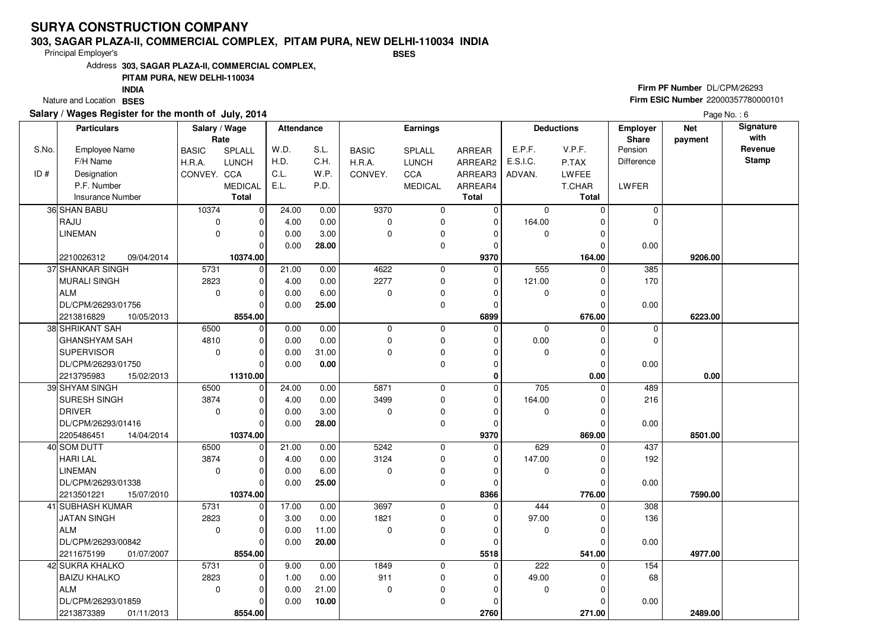#### **303, SAGAR PLAZA-II, COMMERCIAL COMPLEX, PITAM PURA, NEW DELHI-110034 INDIABSES**

Principal Employer's

Address**303, SAGAR PLAZA-II, COMMERCIAL COMPLEX,**

### **PITAM PURA, NEW DELHI-110034**

Nature and Location BSES **INDIA**

### **Salary / Wages Register for the month of July, 2014**

## **Firm PF Number** DL/CPM/26293 **Firm ESIC Number** 22000357780000101

|       | <b>Particulars</b>       | Salary / Wage<br>Rate |                | Attendance |       | <b>Earnings</b> |                |               |             | <b>Deductions</b> | <b>Employer</b><br>Share | <b>Net</b><br>payment | Signature<br>with |
|-------|--------------------------|-----------------------|----------------|------------|-------|-----------------|----------------|---------------|-------------|-------------------|--------------------------|-----------------------|-------------------|
| S.No. | <b>Employee Name</b>     | <b>BASIC</b>          | <b>SPLALL</b>  | W.D.       | S.L.  | <b>BASIC</b>    | <b>SPLALL</b>  | <b>ARREAR</b> | E.P.F.      | V.P.F.            | Pension                  |                       | Revenue           |
|       | F/H Name                 | H.R.A.                | <b>LUNCH</b>   | H.D.       | C.H.  | H.R.A.          | LUNCH          | ARREAR2       | E.S.I.C.    | P.TAX             | Difference               |                       | <b>Stamp</b>      |
| ID#   | Designation              | CONVEY. CCA           |                | C.L.       | W.P.  | CONVEY.         | CCA            | ARREAR3       | ADVAN.      | LWFEE             |                          |                       |                   |
|       | P.F. Number              |                       | <b>MEDICAL</b> | E.L.       | P.D.  |                 | <b>MEDICAL</b> | ARREAR4       |             | T.CHAR            | LWFER                    |                       |                   |
|       | Insurance Number         |                       | <b>Total</b>   |            |       |                 |                | <b>Total</b>  |             | <b>Total</b>      |                          |                       |                   |
|       | 36 SHAN BABU             | 10374                 | $\overline{0}$ | 24.00      | 0.00  | 9370            | 0              | 0             | $\mathbf 0$ | $\Omega$          | $\mathbf 0$              |                       |                   |
|       | RAJU                     | 0                     | $\mathbf 0$    | 4.00       | 0.00  | $\mathbf 0$     | 0              | $\Omega$      | 164.00      | ŋ                 | $\Omega$                 |                       |                   |
|       | <b>LINEMAN</b>           | 0                     | 0              | 0.00       | 3.00  | 0               | 0              | $\Omega$      | 0           |                   |                          |                       |                   |
|       |                          |                       | $\Omega$       | 0.00       | 28.00 |                 | 0              | $\Omega$      |             |                   | 0.00                     |                       |                   |
|       | 2210026312<br>09/04/2014 |                       | 10374.00       |            |       |                 |                | 9370          |             | 164.00            |                          | 9206.00               |                   |
|       | 37 SHANKAR SINGH         | 5731                  | $\overline{0}$ | 21.00      | 0.00  | 4622            | 0              | $\Omega$      | 555         | $\Omega$          | 385                      |                       |                   |
|       | <b>MURALI SINGH</b>      | 2823                  | $\mathbf 0$    | 4.00       | 0.00  | 2277            | 0              | 0             | 121.00      | O                 | 170                      |                       |                   |
|       | <b>ALM</b>               | $\mathbf 0$           | $\mathbf 0$    | 0.00       | 6.00  | 0               | 0              | 0             | $\mathbf 0$ | 0                 |                          |                       |                   |
|       | DL/CPM/26293/01756       |                       | $\Omega$       | 0.00       | 25.00 |                 | 0              | $\Omega$      |             | O                 | 0.00                     |                       |                   |
|       | 2213816829<br>10/05/2013 |                       | 8554.00        |            |       |                 |                | 6899          |             | 676.00            |                          | 6223.00               |                   |
|       | 38 SHRIKANT SAH          | 6500                  | $\Omega$       | 0.00       | 0.00  | $\mathbf 0$     | 0              | $\Omega$      | $\mathbf 0$ |                   | $\mathbf 0$              |                       |                   |
|       | <b>GHANSHYAM SAH</b>     | 4810                  | 0              | 0.00       | 0.00  | $\mathbf 0$     | 0              | 0             | 0.00        | 0                 | $\mathbf 0$              |                       |                   |
|       | <b>SUPERVISOR</b>        | $\mathbf 0$           | 0              | 0.00       | 31.00 | $\Omega$        | 0              | $\Omega$      | 0           | 0                 |                          |                       |                   |
|       | DL/CPM/26293/01750       |                       | $\Omega$       | 0.00       | 0.00  |                 | 0              | $\Omega$      |             | $\Omega$          | 0.00                     |                       |                   |
|       | 2213795983<br>15/02/2013 |                       | 11310.00       |            |       |                 |                | $\mathbf 0$   |             | 0.00              |                          | 0.00                  |                   |
|       | 39 SHYAM SINGH           | 6500                  | 0              | 24.00      | 0.00  | 5871            | 0              | $\Omega$      | 705         | $\Omega$          | 489                      |                       |                   |
|       | SURESH SINGH             | 3874                  | $\Omega$       | 4.00       | 0.00  | 3499            | 0              | $\Omega$      | 164.00      | O                 | 216                      |                       |                   |
|       | <b>DRIVER</b>            | 0                     | 0              | 0.00       | 3.00  | 0               | 0              | $\Omega$      | 0           | O                 |                          |                       |                   |
|       | DL/CPM/26293/01416       |                       | $\Omega$       | 0.00       | 28.00 |                 | 0              | $\Omega$      |             | $\Omega$          | 0.00                     |                       |                   |
|       | 2205486451<br>14/04/2014 |                       | 10374.00       |            |       |                 |                | 9370          |             | 869.00            |                          | 8501.00               |                   |
|       | 40 SOM DUTT              | 6500                  | $\mathbf 0$    | 21.00      | 0.00  | 5242            | 0              | $\mathbf 0$   | 629         | ŋ                 | 437                      |                       |                   |
|       | <b>HARI LAL</b>          | 3874                  | 0              | 4.00       | 0.00  | 3124            | 0              | 0             | 147.00      | 0                 | 192                      |                       |                   |
|       | <b>LINEMAN</b>           | 0                     | $\Omega$       | 0.00       | 6.00  | $\Omega$        | 0              | $\Omega$      | $\mathbf 0$ | O                 |                          |                       |                   |
|       | DL/CPM/26293/01338       |                       | $\mathbf 0$    | 0.00       | 25.00 |                 | 0              | $\Omega$      |             |                   | 0.00                     |                       |                   |
|       | 2213501221<br>15/07/2010 |                       | 10374.00       |            |       |                 |                | 8366          |             | 776.00            |                          | 7590.00               |                   |
|       | 41 SUBHASH KUMAR         | 5731                  | 0              | 17.00      | 0.00  | 3697            | 0              | 0             | 444         | $\Omega$          | 308                      |                       |                   |
|       | <b>JATAN SINGH</b>       | 2823                  | 0              | 3.00       | 0.00  | 1821            | 0              | $\Omega$      | 97.00       |                   | 136                      |                       |                   |
|       | <b>ALM</b>               | $\mathbf 0$           | $\mathbf 0$    | 0.00       | 11.00 | $\mathbf 0$     | 0              | $\Omega$      | $\mathbf 0$ | O                 |                          |                       |                   |
|       | DL/CPM/26293/00842       |                       | $\Omega$       | 0.00       | 20.00 |                 | 0              | $\Omega$      |             | O                 | 0.00                     |                       |                   |
|       | 2211675199<br>01/07/2007 |                       | 8554.00        |            |       |                 |                | 5518          |             | 541.00            |                          | 4977.00               |                   |
|       | 42 SUKRA KHALKO          | 5731                  | $\overline{0}$ | 9.00       | 0.00  | 1849            | 0              | $\mathbf 0$   | 222         | $\Omega$          | 154                      |                       |                   |
|       | <b>BAIZU KHALKO</b>      | 2823                  | $\Omega$       | 1.00       | 0.00  | 911             | 0              | 0             | 49.00       |                   | 68                       |                       |                   |
|       | <b>ALM</b>               | $\mathbf 0$           | 0              | 0.00       | 21.00 | $\mathbf 0$     | 0              | $\Omega$      | 0           |                   |                          |                       |                   |
|       | DL/CPM/26293/01859       |                       | $\mathbf 0$    | 0.00       | 10.00 |                 | 0              | $\Omega$      |             |                   | 0.00                     |                       |                   |
|       | 2213873389<br>01/11/2013 |                       | 8554.00        |            |       |                 |                | 2760          |             | 271.00            |                          | 2489.00               |                   |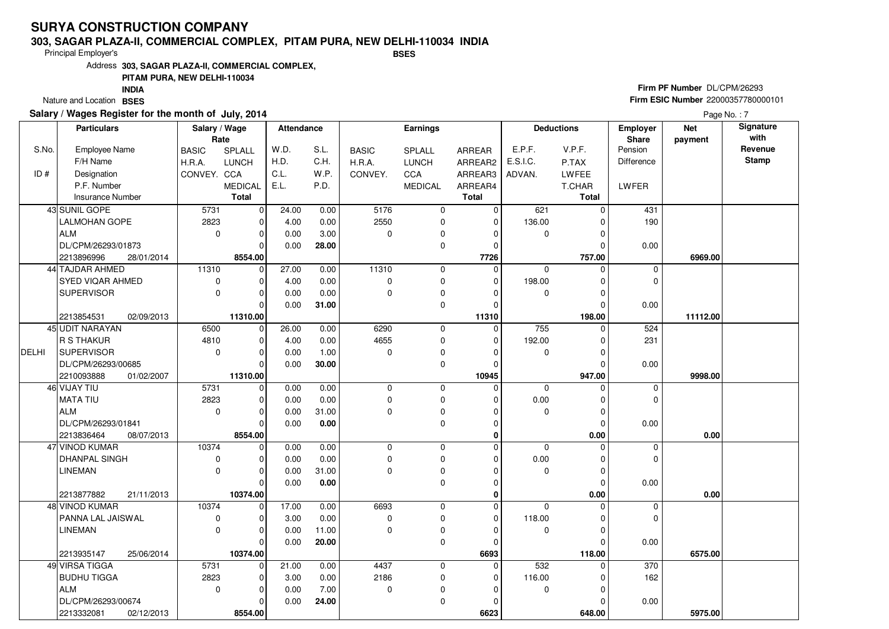#### **303, SAGAR PLAZA-II, COMMERCIAL COMPLEX, PITAM PURA, NEW DELHI-110034 INDIABSES**

Principal Employer's

Address**303, SAGAR PLAZA-II, COMMERCIAL COMPLEX,**

### **PITAM PURA, NEW DELHI-110034**

Nature and Location BSES **INDIA**

### **Salary / Wages Register for the month of July, 2014**

## **Firm PF Number** DL/CPM/26293 **Firm ESIC Number** 22000357780000101

|              | <b>Particulars</b>       | Salary / Wage        |                | Attendance |       | Earnings     |                | <b>Deductions</b>       |             | <b>Employer</b><br>Share | <b>Net</b>       | Signature<br>with |              |
|--------------|--------------------------|----------------------|----------------|------------|-------|--------------|----------------|-------------------------|-------------|--------------------------|------------------|-------------------|--------------|
| S.No.        | <b>Employee Name</b>     | Rate<br><b>BASIC</b> | SPLALL         | W.D.       | S.L.  | <b>BASIC</b> | SPLALL         | <b>ARREAR</b>           | E.P.F.      | V.P.F.                   | Pension          | payment           | Revenue      |
|              | F/H Name                 | H.R.A.               | <b>LUNCH</b>   | H.D.       | C.H.  | H.R.A.       | LUNCH          | ARREAR2                 | E.S.I.C.    | P.TAX                    | Difference       |                   | <b>Stamp</b> |
| ID#          | Designation              | CONVEY. CCA          |                | C.L.       | W.P.  | CONVEY.      | CCA            | ARREAR3                 | ADVAN.      | LWFEE                    |                  |                   |              |
|              | P.F. Number              |                      | <b>MEDICAL</b> | E.L.       | P.D.  |              |                |                         |             |                          |                  |                   |              |
|              | <b>Insurance Number</b>  |                      | <b>Total</b>   |            |       |              | <b>MEDICAL</b> | ARREAR4<br><b>Total</b> |             | T.CHAR<br><b>Total</b>   | LWFER            |                   |              |
|              | 43 SUNIL GOPE            |                      |                |            |       | 5176         |                | $\Omega$                |             |                          |                  |                   |              |
|              |                          | 5731                 | 0              | 24.00      | 0.00  |              | $\mathbf 0$    |                         | 621         | $\mathbf 0$              | 431              |                   |              |
|              | LALMOHAN GOPE            | 2823                 | 0              | 4.00       | 0.00  | 2550         | $\mathbf 0$    | $\mathbf 0$             | 136.00      | 0                        | 190              |                   |              |
|              | <b>ALM</b>               | $\mathbf 0$          | $\mathbf 0$    | 0.00       | 3.00  | $\mathbf 0$  | $\mathbf 0$    | $\Omega$                | $\mathbf 0$ | $\Omega$                 |                  |                   |              |
|              | DL/CPM/26293/01873       |                      | $\Omega$       | 0.00       | 28.00 |              | $\mathbf 0$    | $\Omega$                |             | $\Omega$                 | 0.00             |                   |              |
|              | 2213896996<br>28/01/2014 |                      | 8554.00        |            |       |              |                | 7726                    |             | 757.00                   |                  | 6969.00           |              |
|              | 44 TAJDAR AHMED          | 11310                | $\Omega$       | 27.00      | 0.00  | 11310        | $\mathbf 0$    | $\Omega$                | $\mathbf 0$ | 0                        | $\mathbf 0$      |                   |              |
|              | SYED VIQAR AHMED         | $\pmb{0}$            | $\Omega$       | 4.00       | 0.00  | $\mathbf 0$  | $\mathbf 0$    | $\Omega$                | 198.00      | 0                        | $\Omega$         |                   |              |
|              | <b>SUPERVISOR</b>        | $\mathbf 0$          | 0              | 0.00       | 0.00  | $\Omega$     | $\mathbf 0$    | 0                       | $\mathbf 0$ | $\mathbf 0$              |                  |                   |              |
|              |                          |                      | $\Omega$       | 0.00       | 31.00 |              | $\mathbf 0$    | $\Omega$                |             | $\Omega$                 | 0.00             |                   |              |
|              | 2213854531<br>02/09/2013 |                      | 11310.00       |            |       |              |                | 11310                   |             | 198.00                   |                  | 11112.00          |              |
|              | 45 UDIT NARAYAN          | 6500                 | $\mathbf 0$    | 26.00      | 0.00  | 6290         | $\mathbf 0$    | $\Omega$                | 755         | 0                        | 524              |                   |              |
|              | R S THAKUR               | 4810                 | $\overline{0}$ | 4.00       | 0.00  | 4655         | $\mathbf 0$    | $\Omega$                | 192.00      | 0                        | 231              |                   |              |
| <b>DELHI</b> | <b>SUPERVISOR</b>        | $\mathbf 0$          | 0              | 0.00       | 1.00  | $\mathbf 0$  | $\mathbf 0$    | $\Omega$                | $\mathbf 0$ | 0                        |                  |                   |              |
|              | DL/CPM/26293/00685       |                      | $\Omega$       | 0.00       | 30.00 |              | $\mathbf 0$    | $\Omega$                |             | $\mathbf 0$              | 0.00             |                   |              |
|              | 2210093888<br>01/02/2007 |                      | 11310.00       |            |       |              |                | 10945                   |             | 947.00                   |                  | 9998.00           |              |
|              | 46 VIJAY TIU             | 5731                 | 0              | 0.00       | 0.00  | $\pmb{0}$    | $\mathbf 0$    | $\mathbf 0$             | $\mathbf 0$ | 0                        | 0                |                   |              |
|              | <b>MATA TIU</b>          | 2823                 | $\Omega$       | 0.00       | 0.00  | $\mathbf 0$  | $\mathbf 0$    | $\Omega$                | 0.00        | 0                        | $\Omega$         |                   |              |
|              | <b>ALM</b>               | $\mathbf 0$          | $\mathbf 0$    | 0.00       | 31.00 | $\mathbf 0$  | $\mathbf 0$    | $\Omega$                | 0           | 0                        |                  |                   |              |
|              | DL/CPM/26293/01841       |                      | $\Omega$       | 0.00       | 0.00  |              | $\mathbf 0$    | $\Omega$                |             | $\mathbf{0}$             | 0.00             |                   |              |
|              | 2213836464<br>08/07/2013 |                      | 8554.00        |            |       |              |                | 0                       |             | 0.00                     |                  | 0.00              |              |
|              | 47 VINOD KUMAR           | 10374                | 0              | 0.00       | 0.00  | $\pmb{0}$    | $\mathbf 0$    | 0                       | $\mathbf 0$ | 0                        | $\mathbf 0$      |                   |              |
|              | <b>DHANPAL SINGH</b>     | $\mathbf 0$          | $\Omega$       | 0.00       | 0.00  | $\Omega$     | $\mathbf 0$    | 0                       | 0.00        | 0                        | $\Omega$         |                   |              |
|              | <b>LINEMAN</b>           | $\mathbf 0$          | $\mathbf 0$    | 0.00       | 31.00 | $\mathbf 0$  | $\mathbf 0$    | 0                       | $\mathbf 0$ | $\mathsf 0$              |                  |                   |              |
|              |                          |                      | $\Omega$       | 0.00       | 0.00  |              | $\mathbf 0$    | $\Omega$                |             | $\Omega$                 | 0.00             |                   |              |
|              | 2213877882<br>21/11/2013 |                      | 10374.00       |            |       |              |                | $\bf{0}$                |             | 0.00                     |                  | 0.00              |              |
|              | 48 VINOD KUMAR           | 10374                | $\mathbf 0$    | 17.00      | 0.00  | 6693         | $\mathbf 0$    | 0                       | $\mathbf 0$ | 0                        | $\mathbf 0$      |                   |              |
|              | PANNA LAL JAISWAL        | 0                    | 0              | 3.00       | 0.00  | $\mathbf 0$  | $\mathbf 0$    | $\Omega$                | 118.00      | 0                        | $\Omega$         |                   |              |
|              | <b>LINEMAN</b>           | $\Omega$             | $\Omega$       | 0.00       | 11.00 | $\mathbf 0$  | $\mathbf 0$    | $\Omega$                | 0           | 0                        |                  |                   |              |
|              |                          |                      | $\Omega$       | 0.00       | 20.00 |              | $\mathbf 0$    | $\Omega$                |             | $\Omega$                 | 0.00             |                   |              |
|              | 2213935147<br>25/06/2014 |                      | 10374.00       |            |       |              |                | 6693                    |             | 118.00                   |                  | 6575.00           |              |
|              | 49 VIRSA TIGGA           | 5731                 | $\mathbf 0$    | 21.00      | 0.00  | 4437         | $\mathbf 0$    | $\mathbf 0$             | 532         | 0                        | $\overline{370}$ |                   |              |
|              | <b>BUDHU TIGGA</b>       | 2823                 | $\Omega$       | 3.00       | 0.00  | 2186         | $\mathbf 0$    | $\Omega$                | 116.00      | $\mathbf 0$              | 162              |                   |              |
|              | <b>ALM</b>               | $\Omega$             | $\Omega$       | 0.00       | 7.00  | $\Omega$     | $\mathbf 0$    | O                       | $\mathbf 0$ | $\Omega$                 |                  |                   |              |
|              | DL/CPM/26293/00674       |                      | 0              | 0.00       | 24.00 |              | $\Omega$       | $\Omega$                |             | $\Omega$                 | 0.00             |                   |              |
|              | 2213332081<br>02/12/2013 |                      | 8554.00        |            |       |              |                | 6623                    |             | 648.00                   |                  | 5975.00           |              |